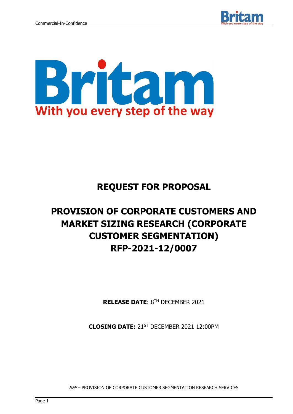



# **REQUEST FOR PROPOSAL**

# **PROVISION OF CORPORATE CUSTOMERS AND MARKET SIZING RESEARCH (CORPORATE CUSTOMER SEGMENTATION) RFP-2021-12/0007**

**RELEASE DATE**: 8 TH DECEMBER 2021

**CLOSING DATE:** 21ST DECEMBER 2021 12:00PM

RFP – PROVISION OF CORPORATE CUSTOMER SEGMENTATION RESEARCH SERVICES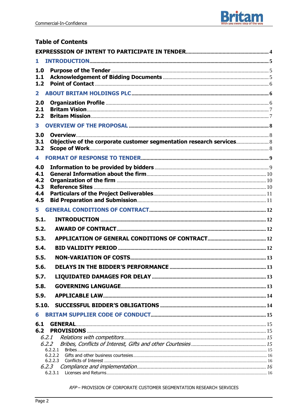

# **Table of Contents**

| 1            |                                                                    |  |
|--------------|--------------------------------------------------------------------|--|
| 1.0          |                                                                    |  |
| 1.1<br>1.2   |                                                                    |  |
|              |                                                                    |  |
| $\mathbf{2}$ |                                                                    |  |
| 2.0<br>2.1   |                                                                    |  |
| 2.2          |                                                                    |  |
| $\mathbf{3}$ |                                                                    |  |
| 3.0          |                                                                    |  |
| 3.1<br>3.2   | Objective of the corporate customer segmentation research services |  |
| 4            |                                                                    |  |
| 4.0          |                                                                    |  |
| 4.1          |                                                                    |  |
| 4.2<br>4.3   |                                                                    |  |
| 4.4          |                                                                    |  |
| 4.5          |                                                                    |  |
| 5            |                                                                    |  |
| 5.1.         |                                                                    |  |
| 5.2.         |                                                                    |  |
| 5.3.         |                                                                    |  |
| 5.4.         |                                                                    |  |
| 5.5.         |                                                                    |  |
| 5.6.         |                                                                    |  |
| 5.7.         |                                                                    |  |
| 5.8.         |                                                                    |  |
| 5.9.         |                                                                    |  |
| 5.10.        |                                                                    |  |
| 6            |                                                                    |  |
| 6.1          | <b>GENERAL</b>                                                     |  |
| 6.2          |                                                                    |  |
|              | 6.2.1                                                              |  |
|              | 6.2.2<br>6.2.2.1                                                   |  |
|              | 6.2.2.2                                                            |  |
|              | 6.2.2.3<br>6.2.3                                                   |  |
|              | 6.2.3.1                                                            |  |

RFP-PROVISION OF CORPORATE CUSTOMER SEGMENTATION RESEARCH SERVICES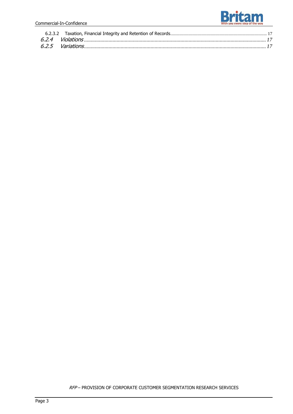

RFP – PROVISION OF CORPORATE CUSTOMER SEGMENTATION RESEARCH SERVICES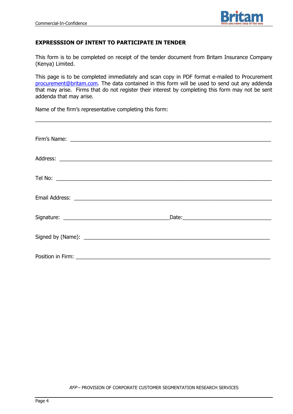

#### **EXPRESSSION OF INTENT TO PARTICIPATE IN TENDER**

This form is to be completed on receipt of the tender document from Britam Insurance Company (Kenya) Limited.

This page is to be completed immediately and scan copy in PDF format e-mailed to Procurement [procurement@britam.com.](mailto:procurement@britam.com) The data contained in this form will be used to send out any addenda that may arise. Firms that do not register their interest by completing this form may not be sent addenda that may arise.

\_\_\_\_\_\_\_\_\_\_\_\_\_\_\_\_\_\_\_\_\_\_\_\_\_\_\_\_\_\_\_\_\_\_\_\_\_\_\_\_\_\_\_\_\_\_\_\_\_\_\_\_\_\_\_\_\_\_\_\_\_\_\_\_\_\_\_\_\_\_\_\_\_\_\_\_\_\_\_\_

Name of the firm's representative completing this form:

| Late: Later and the contract of the contract of the contract of the contract of the contract of the contract of the contract of the contract of the contract of the contract of the contract of the contract of the contract o |
|--------------------------------------------------------------------------------------------------------------------------------------------------------------------------------------------------------------------------------|
|                                                                                                                                                                                                                                |
|                                                                                                                                                                                                                                |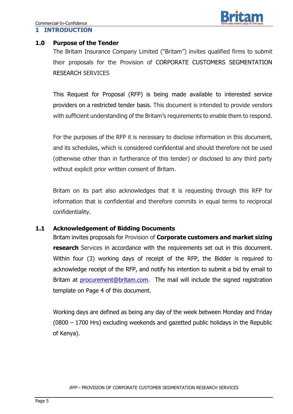

#### **1.0 Purpose of the Tender**

The Britam Insurance Company Limited ("Britam") invites qualified firms to submit their proposals for the Provision of CORPORATE CUSTOMERS SEGMENTATION RESEARCH SERVICES

This Request for Proposal (RFP) is being made available to interested service providers on a restricted tender basis. This document is intended to provide vendors with sufficient understanding of the Britam's requirements to enable them to respond.

For the purposes of the RFP it is necessary to disclose information in this document, and its schedules, which is considered confidential and should therefore not be used (otherwise other than in furtherance of this tender) or disclosed to any third party without explicit prior written consent of Britam.

Britam on its part also acknowledges that it is requesting through this RFP for information that is confidential and therefore commits in equal terms to reciprocal confidentiality.

#### **1.1 Acknowledgement of Bidding Documents**

Britam invites proposals for Provision of **Corporate customers and market sizing research** Services in accordance with the requirements set out in this document. Within four (3) working days of receipt of the RFP, the Bidder is required to acknowledge receipt of the RFP, and notify his intention to submit a bid by email to Britam at **[procurement@britam.com.](mailto:procurement@britam.com)** The mail will include the signed registration template on Page 4 of this document.

Working days are defined as being any day of the week between Monday and Friday (0800 – 1700 Hrs) excluding weekends and gazetted public holidays in the Republic of Kenya).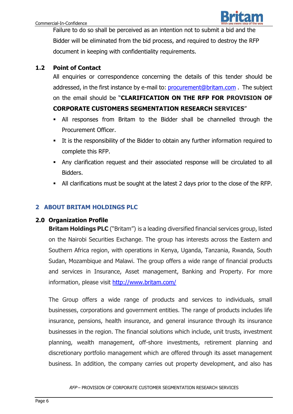

Failure to do so shall be perceived as an intention not to submit a bid and the Bidder will be eliminated from the bid process, and required to destroy the RFP document in keeping with confidentiality requirements.

# **1.2 Point of Contact**

All enquiries or correspondence concerning the details of this tender should be addressed, in the first instance by e-mail to: [procurement@britam.com](mailto:procurement@britam.com) .The subject on the email should be "**CLARIFICATION ON THE RFP FOR PROVISION OF CORPORATE CUSTOMERS SEGMENTATION RESEARCH SERVICES**"

- All responses from Britam to the Bidder shall be channelled through the Procurement Officer.
- It is the responsibility of the Bidder to obtain any further information required to complete this RFP.
- Any clarification request and their associated response will be circulated to all Bidders.
- All clarifications must be sought at the latest 2 days prior to the close of the RFP.

# **2 ABOUT BRITAM HOLDINGS PLC**

# **2.0 Organization Profile**

**Britam Holdings PLC** ("Britam") is a leading diversified financial services group, listed on the Nairobi Securities Exchange. The group has interests across the Eastern and Southern Africa region, with operations in Kenya, Uganda, Tanzania, Rwanda, South Sudan, Mozambique and Malawi. The group offers a wide range of financial products and services in Insurance, Asset management, Banking and Property. For more information, please visit <http://www.britam.com/>

The Group offers a wide range of products and services to individuals, small businesses, corporations and government entities. The range of products includes life insurance, pensions, health insurance, and general insurance through its insurance businesses in the region. The financial solutions which include, unit trusts, investment planning, wealth management, off-shore investments, retirement planning and discretionary portfolio management which are offered through its asset management business. In addition, the company carries out property development, and also has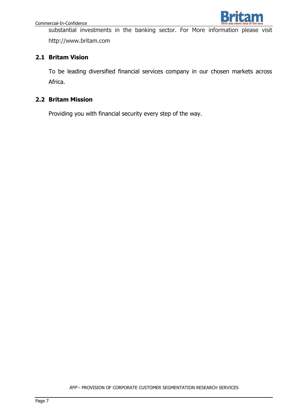

substantial investments in the banking sector. For More information please visit [ht](http://www.britam.co.ke/)tp://www.britam.com

# **2.1 Britam Vision**

To be leading diversified financial services company in our chosen markets across Africa.

# **2.2 Britam Mission**

Providing you with financial security every step of the way.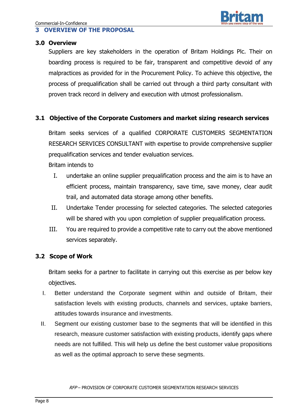#### **3 OVERVIEW OF THE PROPOSAL**

#### **3.0 Overview**

Suppliers are key stakeholders in the operation of Britam Holdings Plc. Their on boarding process is required to be fair, transparent and competitive devoid of any malpractices as provided for in the Procurement Policy. To achieve this objective, the process of prequalification shall be carried out through a third party consultant with proven track record in delivery and execution with utmost professionalism.

# **3.1 Objective of the Corporate Customers and market sizing research services**

Britam seeks services of a qualified CORPORATE CUSTOMERS SEGMENTATION RESEARCH SERVICES CONSULTANT with expertise to provide comprehensive supplier prequalification services and tender evaluation services.

Britam intends to

- I. undertake an online supplier prequalification process and the aim is to have an efficient process, maintain transparency, save time, save money, clear audit trail, and automated data storage among other benefits.
- II. Undertake Tender processing for selected categories. The selected categories will be shared with you upon completion of supplier prequalification process.
- III. You are required to provide a competitive rate to carry out the above mentioned services separately.

#### **3.2 Scope of Work**

Britam seeks for a partner to facilitate in carrying out this exercise as per below key objectives.

- I. Better understand the Corporate segment within and outside of Britam, their satisfaction levels with existing products, channels and services, uptake barriers, attitudes towards insurance and investments.
- II. Segment our existing customer base to the segments that will be identified in this research, measure customer satisfaction with existing products, identify gaps where needs are not fulfilled. This will help us define the best customer value propositions as well as the optimal approach to serve these segments.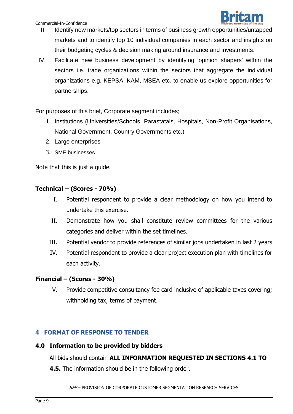

- III. Identify new markets/top sectors in terms of business growth opportunities/untapped markets and to identify top 10 individual companies in each sector and insights on their budgeting cycles & decision making around insurance and investments.
- IV. Facilitate new business development by identifying 'opinion shapers' within the sectors i.e. trade organizations within the sectors that aggregate the individual organizations e.g. KEPSA, KAM, MSEA etc. to enable us explore opportunities for partnerships.

For purposes of this brief, Corporate segment includes;

- 1. Institutions (Universities/Schools, Parastatals, Hospitals, Non-Profit Organisations, National Government, Country Governments etc.)
- 2. Large enterprises
- 3. SME businesses

Note that this is just a guide.

#### **Technical – (Scores - 70%)**

- I. Potential respondent to provide a clear methodology on how you intend to undertake this exercise.
- II. Demonstrate how you shall constitute review committees for the various categories and deliver within the set timelines.
- III. Potential vendor to provide references of similar jobs undertaken in last 2 years
- IV. Potential respondent to provide a clear project execution plan with timelines for each activity.

#### **Financial – (Scores - 30%)**

V. Provide competitive consultancy fee card inclusive of applicable taxes covering; withholding tax, terms of payment.

#### **4 FORMAT OF RESPONSE TO TENDER**

#### **4.0 Information to be provided by bidders**

All bids should contain **ALL INFORMATION REQUESTED IN SECTIONS 4.1 TO** 

**4.5.** The information should be in the following order.

RFP – PROVISION OF CORPORATE CUSTOMER SEGMENTATION RESEARCH SERVICES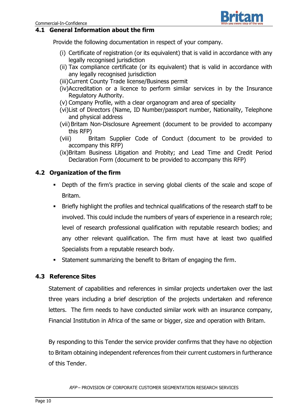#### **4.1 General Information about the firm**

Provide the following documentation in respect of your company.

- (i) Certificate of registration (or its equivalent) that is valid in accordance with any legally recognised jurisdiction
- (ii) Tax compliance certificate (or its equivalent) that is valid in accordance with any legally recognised jurisdiction
- (iii)Current County Trade license/Business permit
- (iv)Accreditation or a licence to perform similar services in by the Insurance Regulatory Authority.
- (v) Company Profile, with a clear organogram and area of speciality
- (vi)List of Directors (Name, ID Number/passport number, Nationality, Telephone and physical address
- (vii) Britam Non-Disclosure Agreement (document to be provided to accompany this RFP)
- (viii) Britam Supplier Code of Conduct (document to be provided to accompany this RFP)
- (ix)Britam Business Litigation and Probity; and Lead Time and Credit Period Declaration Form (document to be provided to accompany this RFP)

# **4.2 Organization of the firm**

- Depth of the firm's practice in serving global clients of the scale and scope of Britam.
- Briefly highlight the profiles and technical qualifications of the research staff to be involved. This could include the numbers of years of experience in a research role; level of research professional qualification with reputable research bodies; and any other relevant qualification. The firm must have at least two qualified Specialists from a reputable research body.
- Statement summarizing the benefit to Britam of engaging the firm.

#### **4.3 Reference Sites**

Statement of capabilities and references in similar projects undertaken over the last three years including a brief description of the projects undertaken and reference letters. The firm needs to have conducted similar work with an insurance company, Financial Institution in Africa of the same or bigger, size and operation with Britam.

By responding to this Tender the service provider confirms that they have no objection to Britam obtaining independent references from their current customers in furtherance of this Tender.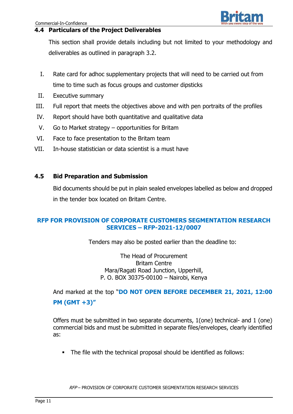#### **4.4 Particulars of the Project Deliverables**

This section shall provide details including but not limited to your methodology and deliverables as outlined in paragraph 3.2.

- I. Rate card for adhoc supplementary projects that will need to be carried out from time to time such as focus groups and customer dipsticks
- II. Executive summary
- III. Full report that meets the objectives above and with pen portraits of the profiles
- IV. Report should have both quantitative and qualitative data
- V. Go to Market strategy opportunities for Britam
- VI. Face to face presentation to the Britam team
- VII. In-house statistician or data scientist is a must have

# **4.5 Bid Preparation and Submission**

Bid documents should be put in plain sealed envelopes labelled as below and dropped in the tender box located on Britam Centre.

# **RFP FOR PROVISION OF CORPORATE CUSTOMERS SEGMENTATION RESEARCH SERVICES – RFP-2021-12/0007**

Tenders may also be posted earlier than the deadline to:

The Head of Procurement Britam Centre Mara/Ragati Road Junction, Upperhill, P. O. BOX 30375-00100 – Nairobi, Kenya

And marked at the top "**DO NOT OPEN BEFORE DECEMBER 21, 2021, 12:00 PM (GMT +3)"**

Offers must be submitted in two separate documents, 1(one) technical- and 1 (one) commercial bids and must be submitted in separate files/envelopes, clearly identified as:

The file with the technical proposal should be identified as follows: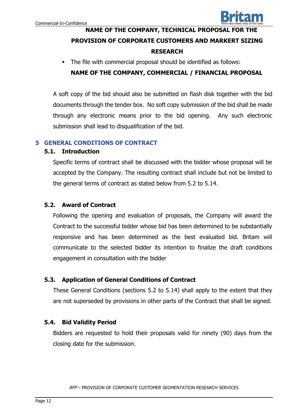

# **NAME OF THE COMPANY, TECHNICAL PROPOSAL FOR THE PROVISION OF CORPORATE CUSTOMERS AND MARKERT SIZING RESEARCH**

The file with commercial proposal should be identified as follows:

# **NAME OF THE COMPANY, COMMERCIAL / FINANCIAL PROPOSAL**

A soft copy of the bid should also be submitted on flash disk together with the bid documents through the tender box. No soft copy submission of the bid shall be made through any electronic means prior to the bid opening. Any such electronic submission shall lead to disqualification of the bid.

# **5 GENERAL CONDITIONS OF CONTRACT**

#### **5.1. Introduction**

Specific terms of contract shall be discussed with the bidder whose proposal will be accepted by the Company. The resulting contract shall include but not be limited to the general terms of contract as stated below from 5.2 to 5.14.

#### **5.2. Award of Contract**

Following the opening and evaluation of proposals, the Company will award the Contract to the successful bidder whose bid has been determined to be substantially responsive and has been determined as the best evaluated bid. Britam will communicate to the selected bidder its intention to finalize the draft conditions engagement in consultation with the bidder

#### **5.3. Application of General Conditions of Contract**

These General Conditions (sections 5.2 to 5.14) shall apply to the extent that they are not superseded by provisions in other parts of the Contract that shall be signed.

#### **5.4. Bid Validity Period**

Bidders are requested to hold their proposals valid for ninety (90) days from the closing date for the submission.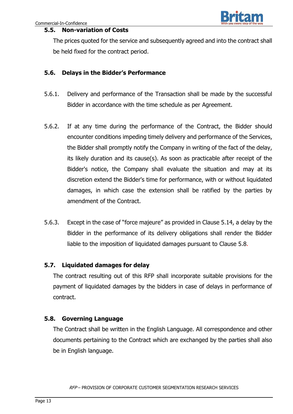# **5.5. Non-variation of Costs**

The prices quoted for the service and subsequently agreed and into the contract shall be held fixed for the contract period.

# **5.6. Delays in the Bidder's Performance**

- 5.6.1. Delivery and performance of the Transaction shall be made by the successful Bidder in accordance with the time schedule as per Agreement.
- 5.6.2. If at any time during the performance of the Contract, the Bidder should encounter conditions impeding timely delivery and performance of the Services, the Bidder shall promptly notify the Company in writing of the fact of the delay, its likely duration and its cause(s). As soon as practicable after receipt of the Bidder's notice, the Company shall evaluate the situation and may at its discretion extend the Bidder's time for performance, with or without liquidated damages, in which case the extension shall be ratified by the parties by amendment of the Contract.
- 5.6.3. Except in the case of "force majeure" as provided in Clause 5.14, a delay by the Bidder in the performance of its delivery obligations shall render the Bidder liable to the imposition of liquidated damages pursuant to Clause 5.8.

#### **5.7. Liquidated damages for delay**

The contract resulting out of this RFP shall incorporate suitable provisions for the payment of liquidated damages by the bidders in case of delays in performance of contract.

#### **5.8. Governing Language**

The Contract shall be written in the English Language. All correspondence and other documents pertaining to the Contract which are exchanged by the parties shall also be in English language.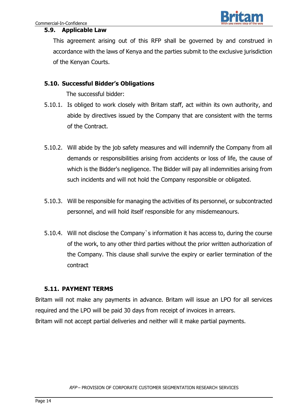

#### **5.9. Applicable Law**

This agreement arising out of this RFP shall be governed by and construed in accordance with the laws of Kenya and the parties submit to the exclusive jurisdiction of the Kenyan Courts.

#### **5.10. Successful Bidder's Obligations**

The successful bidder:

- 5.10.1. Is obliged to work closely with Britam staff, act within its own authority, and abide by directives issued by the Company that are consistent with the terms of the Contract.
- 5.10.2. Will abide by the job safety measures and will indemnify the Company from all demands or responsibilities arising from accidents or loss of life, the cause of which is the Bidder's negligence. The Bidder will pay all indemnities arising from such incidents and will not hold the Company responsible or obligated.
- 5.10.3. Will be responsible for managing the activities of its personnel, or subcontracted personnel, and will hold itself responsible for any misdemeanours.
- 5.10.4. Will not disclose the Company`s information it has access to, during the course of the work, to any other third parties without the prior written authorization of the Company. This clause shall survive the expiry or earlier termination of the contract

#### **5.11. PAYMENT TERMS**

Britam will not make any payments in advance. Britam will issue an LPO for all services required and the LPO will be paid 30 days from receipt of invoices in arrears. Britam will not accept partial deliveries and neither will it make partial payments.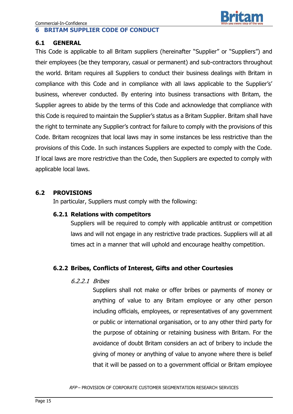#### **6 BRITAM SUPPLIER CODE OF CONDUCT**

#### **6.1 GENERAL**

This Code is applicable to all Britam suppliers (hereinafter "Supplier" or "Suppliers") and their employees (be they temporary, casual or permanent) and sub-contractors throughout the world. Britam requires all Suppliers to conduct their business dealings with Britam in compliance with this Code and in compliance with all laws applicable to the Supplier's' business, wherever conducted. By entering into business transactions with Britam, the Supplier agrees to abide by the terms of this Code and acknowledge that compliance with this Code is required to maintain the Supplier's status as a Britam Supplier. Britam shall have the right to terminate any Supplier's contract for failure to comply with the provisions of this Code. Britam recognizes that local laws may in some instances be less restrictive than the provisions of this Code. In such instances Suppliers are expected to comply with the Code. If local laws are more restrictive than the Code, then Suppliers are expected to comply with applicable local laws.

# **6.2 PROVISIONS**

In particular, Suppliers must comply with the following:

#### **6.2.1 Relations with competitors**

Suppliers will be required to comply with applicable antitrust or competition laws and will not engage in any restrictive trade practices. Suppliers will at all times act in a manner that will uphold and encourage healthy competition.

# **6.2.2 Bribes, Conflicts of Interest, Gifts and other Courtesies**

#### 6.2.2.1 Bribes

Suppliers shall not make or offer bribes or payments of money or anything of value to any Britam employee or any other person including officials, employees, or representatives of any government or public or international organisation, or to any other third party for the purpose of obtaining or retaining business with Britam. For the avoidance of doubt Britam considers an act of bribery to include the giving of money or anything of value to anyone where there is belief that it will be passed on to a government official or Britam employee

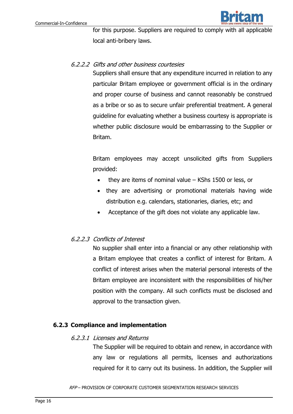

for this purpose. Suppliers are required to comply with all applicable local anti-bribery laws.

#### 6.2.2.2 Gifts and other business courtesies

Suppliers shall ensure that any expenditure incurred in relation to any particular Britam employee or government official is in the ordinary and proper course of business and cannot reasonably be construed as a bribe or so as to secure unfair preferential treatment. A general guideline for evaluating whether a business courtesy is appropriate is whether public disclosure would be embarrassing to the Supplier or Britam.

Britam employees may accept unsolicited gifts from Suppliers provided:

- they are items of nominal value KShs 1500 or less, or
- they are advertising or promotional materials having wide distribution e.g. calendars, stationaries, diaries, etc; and
- Acceptance of the gift does not violate any applicable law.

#### 6.2.2.3 Conflicts of Interest

No supplier shall enter into a financial or any other relationship with a Britam employee that creates a conflict of interest for Britam. A conflict of interest arises when the material personal interests of the Britam employee are inconsistent with the responsibilities of his/her position with the company. All such conflicts must be disclosed and approval to the transaction given.

#### **6.2.3 Compliance and implementation**

#### 6.2.3.1 Licenses and Returns

The Supplier will be required to obtain and renew, in accordance with any law or regulations all permits, licenses and authorizations required for it to carry out its business. In addition, the Supplier will